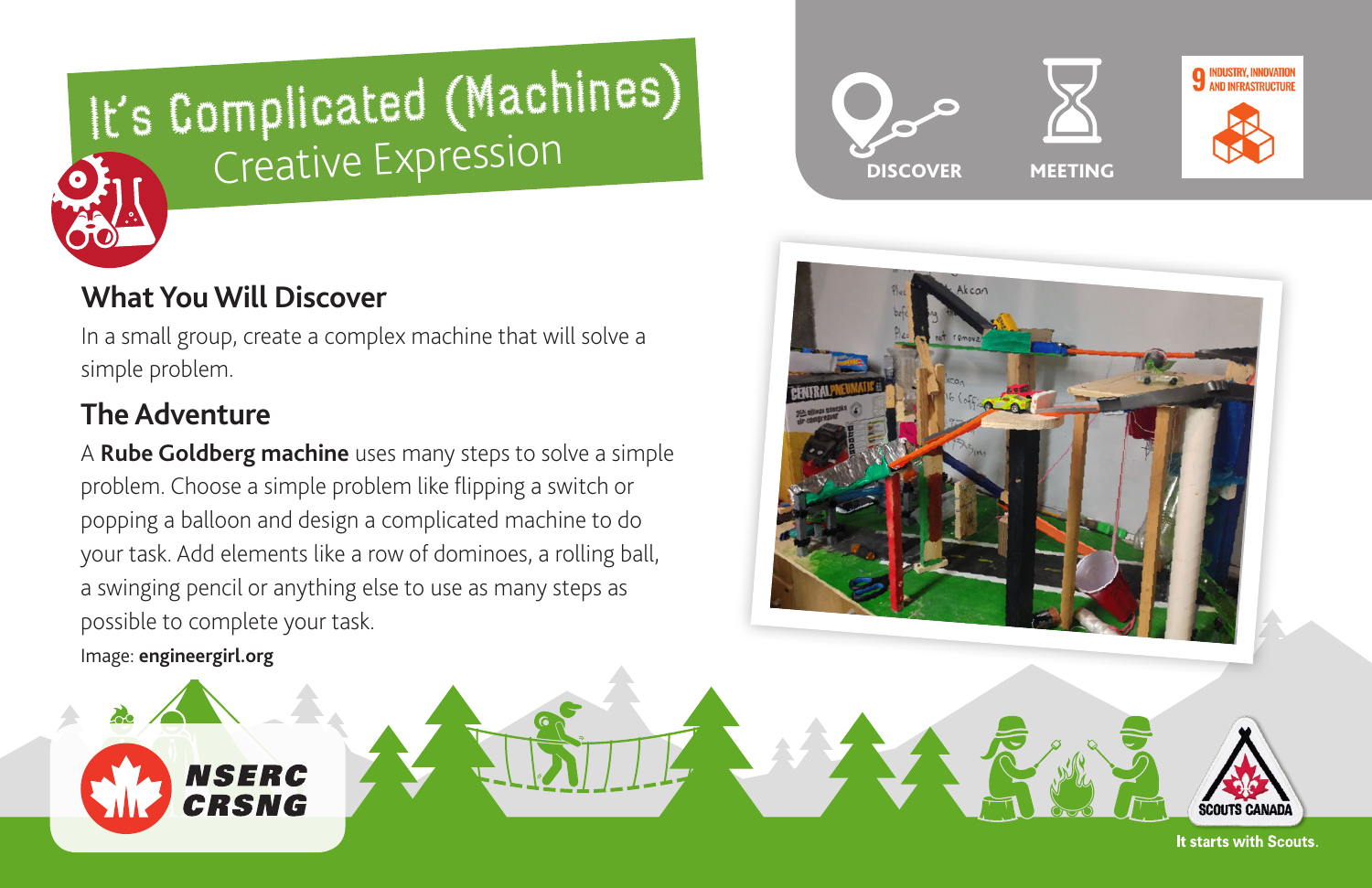

# **What You Will Discover**

In a small group, create a complex machine that will solve a simple problem.

# **The Adventure**

A **[Rube Goldberg machine](https://www.youtube.com/watch?v=qybUFnY7Y8w)** uses many steps to solve a simple problem. Choose a simple problem like flipping a switch or popping a balloon and design a complicated machine to do your task. Add elements like a row of dominoes, a rolling ball, a swinging pencil or anything else to use as many steps as possible to complete your task.

Image: **[engineergirl.org](https://www.engineergirl.org/21946/Rube-Goldberg-Machine)**

**NSERC** CRSNG





It starts with Scouts.